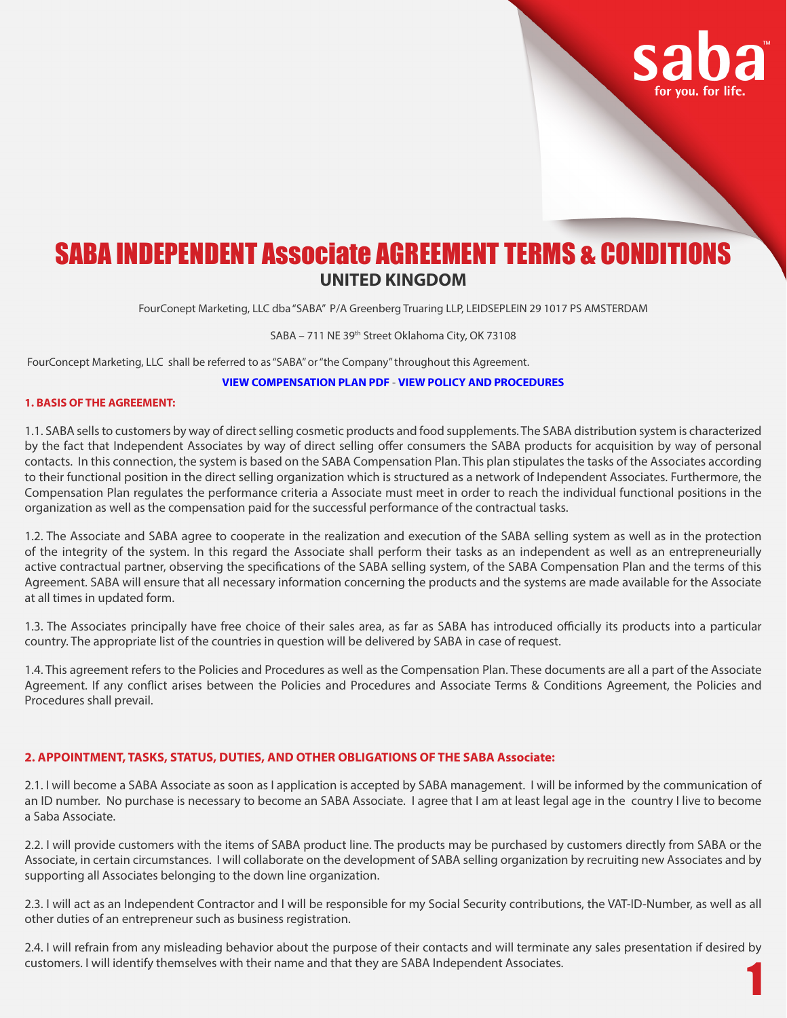

# SABA INDEPENDENT Associate AGREEMENT TERMS & CONDITIONS **UNITED KINGDOM**

FourConept Marketing, LLC dba "SABA" P/A Greenberg Truaring LLP, LEIDSEPLEIN 29 1017 PS AMSTERDAM

#### SABA - 711 NE 39<sup>th</sup> Street Oklahoma City, OK 73108

FourConcept Marketing, LLC shall be referred to as "SABA" or "the Company" throughout this Agreement.

## **VIEW COMPENSATION PLAN PDF** - **VIEW POLICY AND PROCEDURES**

#### **1. BASIS OF THE AGREEMENT:**

1.1. SABA sells to customers by way of direct selling cosmetic products and food supplements. The SABA distribution system is characterized by the fact that Independent Associates by way of direct selling offer consumers the SABA products for acquisition by way of personal contacts. In this connection, the system is based on the SABA Compensation Plan. This plan stipulates the tasks of the Associates according to their functional position in the direct selling organization which is structured as a network of Independent Associates. Furthermore, the Compensation Plan regulates the performance criteria a Associate must meet in order to reach the individual functional positions in the organization as well as the compensation paid for the successful performance of the contractual tasks.

1.2. The Associate and SABA agree to cooperate in the realization and execution of the SABA selling system as well as in the protection of the integrity of the system. In this regard the Associate shall perform their tasks as an independent as well as an entrepreneurially active contractual partner, observing the specifications of the SABA selling system, of the SABA Compensation Plan and the terms of this Agreement. SABA will ensure that all necessary information concerning the products and the systems are made available for the Associate at all times in updated form.

1.3. The Associates principally have free choice of their sales area, as far as SABA has introduced officially its products into a particular country. The appropriate list of the countries in question will be delivered by SABA in case of request.

1.4. This agreement refers to the Policies and Procedures as well as the Compensation Plan. These documents are all a part of the Associate Agreement. If any conflict arises between the Policies and Procedures and Associate Terms & Conditions Agreement, the Policies and Procedures shall prevail.

#### **2. APPOINTMENT, TASKS, STATUS, DUTIES, AND OTHER OBLIGATIONS OF THE SABA Associate:**

2.1. I will become a SABA Associate as soon as I application is accepted by SABA management. I will be informed by the communication of an ID number. No purchase is necessary to become an SABA Associate. I agree that I am at least legal age in the country I live to become a Saba Associate.

2.2. I will provide customers with the items of SABA product line. The products may be purchased by customers directly from SABA or the Associate, in certain circumstances. I will collaborate on the development of SABA selling organization by recruiting new Associates and by supporting all Associates belonging to the down line organization.

2.3. I will act as an Independent Contractor and I will be responsible for my Social Security contributions, the VAT-ID-Number, as well as all other duties of an entrepreneur such as business registration.

1 2.4. I will refrain from any misleading behavior about the purpose of their contacts and will terminate any sales presentation if desired by customers. I will identify themselves with their name and that they are SABA Independent Associates.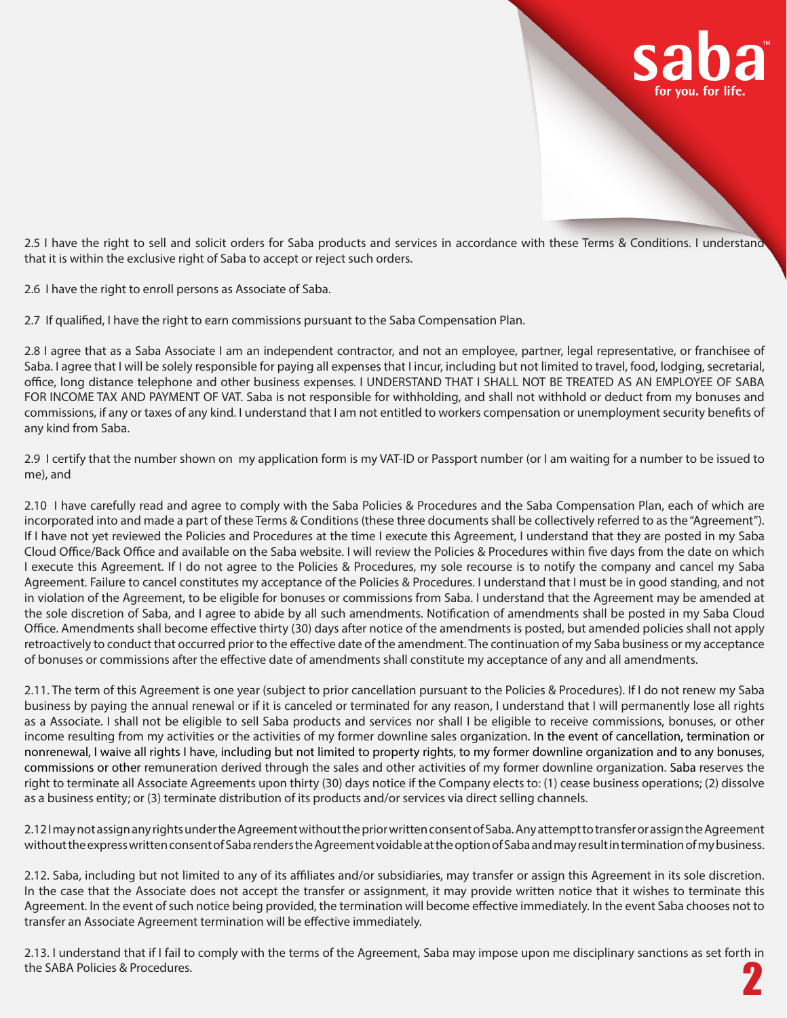

2.5 I have the right to sell and solicit orders for Saba products and services in accordance with these Terms & Conditions. I understand that it is within the exclusive right of Saba to accept or reject such orders.

2.6 I have the right to enroll persons as Associate of Saba.

2.7 If qualified, I have the right to earn commissions pursuant to the Saba Compensation Plan.

2.8 I agree that as a Saba Associate I am an independent contractor, and not an employee, partner, legal representative, or franchisee of Saba. I agree that I will be solely responsible for paying all expenses that I incur, including but not limited to travel, food, lodging, secretarial, office, long distance telephone and other business expenses. I UNDERSTAND THAT I SHALL NOT BE TREATED AS AN EMPLOYEE OF SABA FOR INCOME TAX AND PAYMENT OF VAT. Saba is not responsible for withholding, and shall not withhold or deduct from my bonuses and commissions, if any or taxes of any kind. I understand that I am not entitled to workers compensation or unemployment security benefits of any kind from Saba.

2.9 I certify that the number shown on my application form is my VAT-ID or Passport number (or I am waiting for a number to be issued to me), and

2.10 I have carefully read and agree to comply with the Saba Policies & Procedures and the Saba Compensation Plan, each of which are incorporated into and made a part of these Terms & Conditions (these three documents shall be collectively referred to as the "Agreement"). If I have not yet reviewed the Policies and Procedures at the time I execute this Agreement, I understand that they are posted in my Saba Cloud Office/Back Office and available on the Saba website. I will review the Policies & Procedures within five days from the date on which I execute this Agreement. If I do not agree to the Policies & Procedures, my sole recourse is to notify the company and cancel my Saba Agreement. Failure to cancel constitutes my acceptance of the Policies & Procedures. I understand that I must be in good standing, and not in violation of the Agreement, to be eligible for bonuses or commissions from Saba. I understand that the Agreement may be amended at the sole discretion of Saba, and I agree to abide by all such amendments. Notification of amendments shall be posted in my Saba Cloud Office. Amendments shall become effective thirty (30) days after notice of the amendments is posted, but amended policies shall not apply retroactively to conduct that occurred prior to the effective date of the amendment. The continuation of my Saba business or my acceptance of bonuses or commissions after the effective date of amendments shall constitute my acceptance of any and all amendments.

2.11. The term of this Agreement is one year (subject to prior cancellation pursuant to the Policies & Procedures). If I do not renew my Saba business by paying the annual renewal or if it is canceled or terminated for any reason, I understand that I will permanently lose all rights as a Associate. I shall not be eligible to sell Saba products and services nor shall I be eligible to receive commissions, bonuses, or other income resulting from my activities or the activities of my former downline sales organization. In the event of cancellation, termination or nonrenewal, I waive all rights I have, including but not limited to property rights, to my former downline organization and to any bonuses, commissions or other remuneration derived through the sales and other activities of my former downline organization. Saba reserves the right to terminate all Associate Agreements upon thirty (30) days notice if the Company elects to: (1) cease business operations; (2) dissolve as a business entity; or (3) terminate distribution of its products and/or services via direct selling channels.

2.12 I may not assign any rights under the Agreement without the prior written consent of Saba. Any attempt to transfer or assign the Agreement without the express written consent of Saba renders the Agreement voidable at the option of Saba and may result in termination of my business.

2.12. Saba, including but not limited to any of its affiliates and/or subsidiaries, may transfer or assign this Agreement in its sole discretion. In the case that the Associate does not accept the transfer or assignment, it may provide written notice that it wishes to terminate this Agreement. In the event of such notice being provided, the termination will become effective immediately. In the event Saba chooses not to transfer an Associate Agreement termination will be effective immediately.

2 2.13. I understand that if I fail to comply with the terms of the Agreement, Saba may impose upon me disciplinary sanctions as set forth in the SABA Policies & Procedures.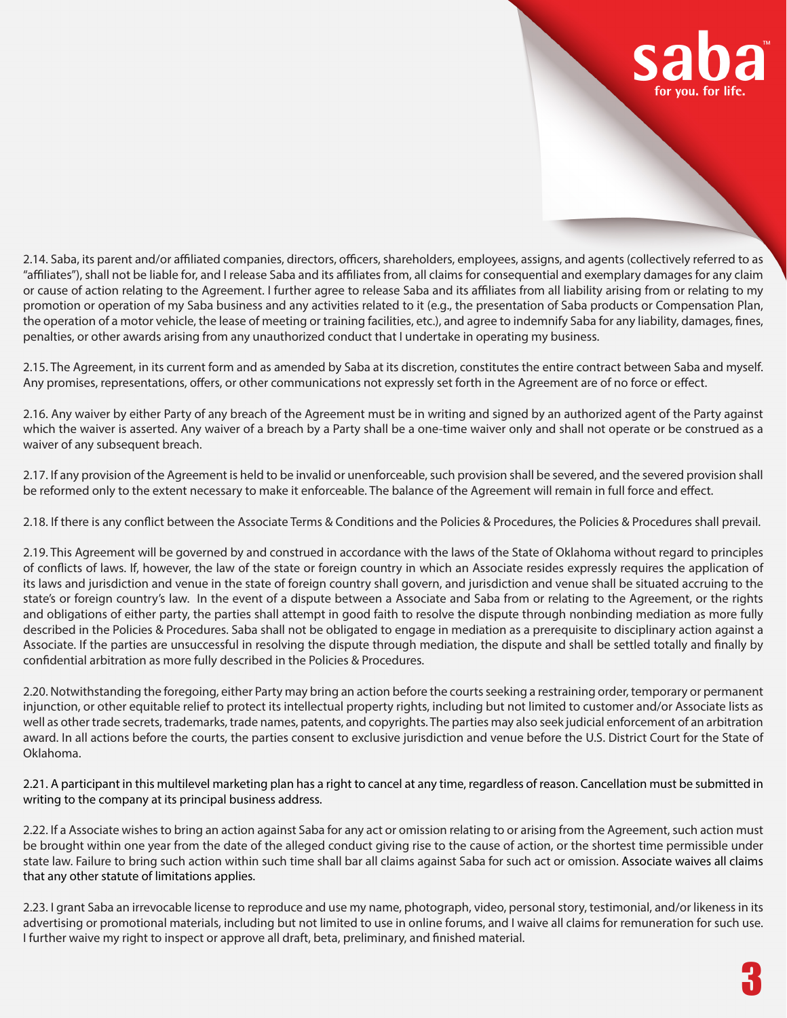

2.14. Saba, its parent and/or affiliated companies, directors, officers, shareholders, employees, assigns, and agents (collectively referred to as "affiliates"), shall not be liable for, and I release Saba and its affiliates from, all claims for consequential and exemplary damages for any claim or cause of action relating to the Agreement. I further agree to release Saba and its affiliates from all liability arising from or relating to my promotion or operation of my Saba business and any activities related to it (e.g., the presentation of Saba products or Compensation Plan, the operation of a motor vehicle, the lease of meeting or training facilities, etc.), and agree to indemnify Saba for any liability, damages, fines, penalties, or other awards arising from any unauthorized conduct that I undertake in operating my business.

2.15. The Agreement, in its current form and as amended by Saba at its discretion, constitutes the entire contract between Saba and myself. Any promises, representations, offers, or other communications not expressly set forth in the Agreement are of no force or effect.

2.16. Any waiver by either Party of any breach of the Agreement must be in writing and signed by an authorized agent of the Party against which the waiver is asserted. Any waiver of a breach by a Party shall be a one-time waiver only and shall not operate or be construed as a waiver of any subsequent breach.

2.17. If any provision of the Agreement is held to be invalid or unenforceable, such provision shall be severed, and the severed provision shall be reformed only to the extent necessary to make it enforceable. The balance of the Agreement will remain in full force and effect.

2.18. If there is any conflict between the Associate Terms & Conditions and the Policies & Procedures, the Policies & Procedures shall prevail.

2.19. This Agreement will be governed by and construed in accordance with the laws of the State of Oklahoma without regard to principles of conflicts of laws. If, however, the law of the state or foreign country in which an Associate resides expressly requires the application of its laws and jurisdiction and venue in the state of foreign country shall govern, and jurisdiction and venue shall be situated accruing to the state's or foreign country's law. In the event of a dispute between a Associate and Saba from or relating to the Agreement, or the rights and obligations of either party, the parties shall attempt in good faith to resolve the dispute through nonbinding mediation as more fully described in the Policies & Procedures. Saba shall not be obligated to engage in mediation as a prerequisite to disciplinary action against a Associate. If the parties are unsuccessful in resolving the dispute through mediation, the dispute and shall be settled totally and finally by confidential arbitration as more fully described in the Policies & Procedures.

2.20. Notwithstanding the foregoing, either Party may bring an action before the courts seeking a restraining order, temporary or permanent injunction, or other equitable relief to protect its intellectual property rights, including but not limited to customer and/or Associate lists as well as other trade secrets, trademarks, trade names, patents, and copyrights. The parties may also seek judicial enforcement of an arbitration award. In all actions before the courts, the parties consent to exclusive jurisdiction and venue before the U.S. District Court for the State of Oklahoma.

2.21. A participant in this multilevel marketing plan has a right to cancel at any time, regardless of reason. Cancellation must be submitted in writing to the company at its principal business address.

2.22. If a Associate wishes to bring an action against Saba for any act or omission relating to or arising from the Agreement, such action must be brought within one year from the date of the alleged conduct giving rise to the cause of action, or the shortest time permissible under state law. Failure to bring such action within such time shall bar all claims against Saba for such act or omission. Associate waives all claims that any other statute of limitations applies.

2.23. I grant Saba an irrevocable license to reproduce and use my name, photograph, video, personal story, testimonial, and/or likeness in its advertising or promotional materials, including but not limited to use in online forums, and I waive all claims for remuneration for such use. I further waive my right to inspect or approve all draft, beta, preliminary, and finished material.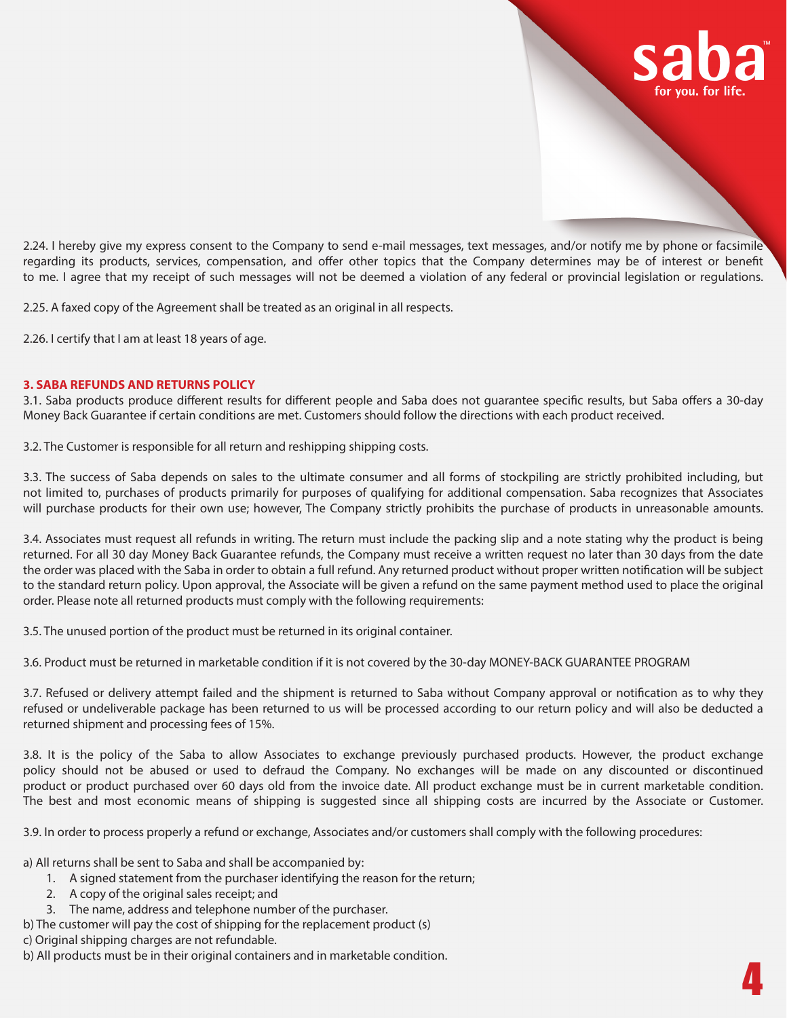

2.24. I hereby give my express consent to the Company to send e-mail messages, text messages, and/or notify me by phone or facsimile regarding its products, services, compensation, and offer other topics that the Company determines may be of interest or benefit to me. I agree that my receipt of such messages will not be deemed a violation of any federal or provincial legislation or regulations.

2.25. A faxed copy of the Agreement shall be treated as an original in all respects.

2.26. I certify that I am at least 18 years of age.

#### **3. SABA REFUNDS AND RETURNS POLICY**

3.1. Saba products produce different results for different people and Saba does not guarantee specific results, but Saba offers a 30-day Money Back Guarantee if certain conditions are met. Customers should follow the directions with each product received.

3.2. The Customer is responsible for all return and reshipping shipping costs.

3.3. The success of Saba depends on sales to the ultimate consumer and all forms of stockpiling are strictly prohibited including, but not limited to, purchases of products primarily for purposes of qualifying for additional compensation. Saba recognizes that Associates will purchase products for their own use; however, The Company strictly prohibits the purchase of products in unreasonable amounts.

3.4. Associates must request all refunds in writing. The return must include the packing slip and a note stating why the product is being returned. For all 30 day Money Back Guarantee refunds, the Company must receive a written request no later than 30 days from the date the order was placed with the Saba in order to obtain a full refund. Any returned product without proper written notification will be subject to the standard return policy. Upon approval, the Associate will be given a refund on the same payment method used to place the original order. Please note all returned products must comply with the following requirements:

3.5. The unused portion of the product must be returned in its original container.

3.6. Product must be returned in marketable condition if it is not covered by the 30-day MONEY-BACK GUARANTEE PROGRAM

3.7. Refused or delivery attempt failed and the shipment is returned to Saba without Company approval or notification as to why they refused or undeliverable package has been returned to us will be processed according to our return policy and will also be deducted a returned shipment and processing fees of 15%.

3.8. It is the policy of the Saba to allow Associates to exchange previously purchased products. However, the product exchange policy should not be abused or used to defraud the Company. No exchanges will be made on any discounted or discontinued product or product purchased over 60 days old from the invoice date. All product exchange must be in current marketable condition. The best and most economic means of shipping is suggested since all shipping costs are incurred by the Associate or Customer.

3.9. In order to process properly a refund or exchange, Associates and/or customers shall comply with the following procedures:

a) All returns shall be sent to Saba and shall be accompanied by:

- 1. A signed statement from the purchaser identifying the reason for the return;
- 2. A copy of the original sales receipt; and
- 3. The name, address and telephone number of the purchaser.
- b) The customer will pay the cost of shipping for the replacement product (s)

c) Original shipping charges are not refundable.

b) All products must be in their original containers and in marketable condition.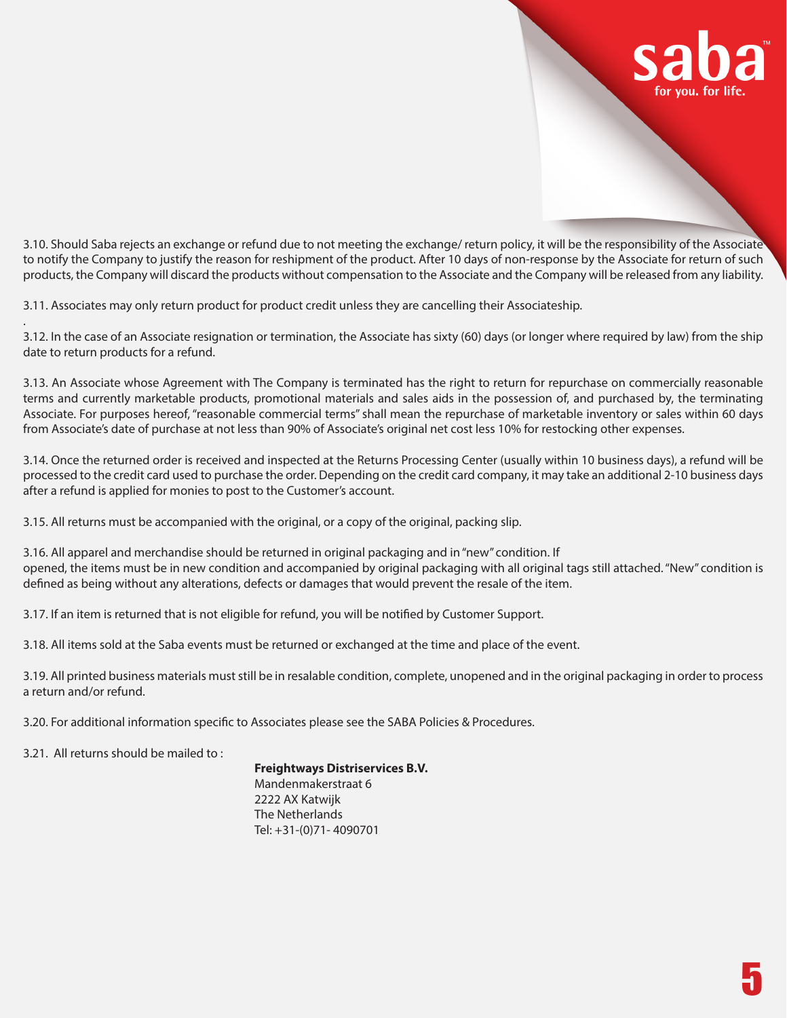

3.10. Should Saba rejects an exchange or refund due to not meeting the exchange/ return policy, it will be the responsibility of the Associate to notify the Company to justify the reason for reshipment of the product. After 10 days of non-response by the Associate for return of such products, the Company will discard the products without compensation to the Associate and the Company will be released from any liability.

3.11. Associates may only return product for product credit unless they are cancelling their Associateship.

3.12. In the case of an Associate resignation or termination, the Associate has sixty (60) days (or longer where required by law) from the ship date to return products for a refund.

3.13. An Associate whose Agreement with The Company is terminated has the right to return for repurchase on commercially reasonable terms and currently marketable products, promotional materials and sales aids in the possession of, and purchased by, the terminating Associate. For purposes hereof, "reasonable commercial terms" shall mean the repurchase of marketable inventory or sales within 60 days from Associate's date of purchase at not less than 90% of Associate's original net cost less 10% for restocking other expenses.

3.14. Once the returned order is received and inspected at the Returns Processing Center (usually within 10 business days), a refund will be processed to the credit card used to purchase the order. Depending on the credit card company, it may take an additional 2-10 business days after a refund is applied for monies to post to the Customer's account.

3.15. All returns must be accompanied with the original, or a copy of the original, packing slip.

3.16. All apparel and merchandise should be returned in original packaging and in "new" condition. If opened, the items must be in new condition and accompanied by original packaging with all original tags still attached. "New" condition is defined as being without any alterations, defects or damages that would prevent the resale of the item.

3.17. If an item is returned that is not eligible for refund, you will be notified by Customer Support.

3.18. All items sold at the Saba events must be returned or exchanged at the time and place of the event.

3.19. All printed business materials must still be in resalable condition, complete, unopened and in the original packaging in order to process a return and/or refund.

3.20. For additional information specific to Associates please see the SABA Policies & Procedures.

3.21. All returns should be mailed to :

.

 **Freightways Distriservices B.V.** Mandenmakerstraat 6

2222 AX Katwijk The Netherlands Tel: +31-(0)71- 4090701